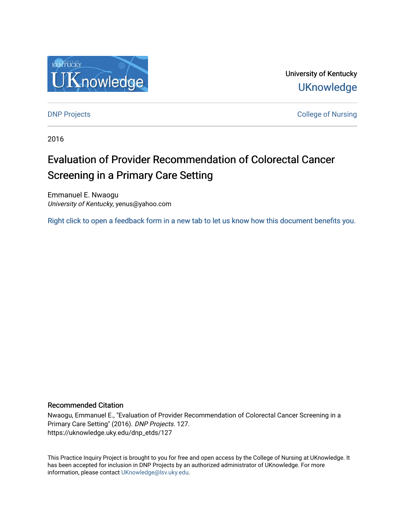

University of Kentucky **UKnowledge** 

[DNP Projects](https://uknowledge.uky.edu/dnp_etds) **College of Nursing** 

2016

# Evaluation of Provider Recommendation of Colorectal Cancer Screening in a Primary Care Setting

Emmanuel E. Nwaogu University of Kentucky, yenus@yahoo.com

[Right click to open a feedback form in a new tab to let us know how this document benefits you.](https://uky.az1.qualtrics.com/jfe/form/SV_9mq8fx2GnONRfz7)

#### Recommended Citation

Nwaogu, Emmanuel E., "Evaluation of Provider Recommendation of Colorectal Cancer Screening in a Primary Care Setting" (2016). DNP Projects. 127. https://uknowledge.uky.edu/dnp\_etds/127

This Practice Inquiry Project is brought to you for free and open access by the College of Nursing at UKnowledge. It has been accepted for inclusion in DNP Projects by an authorized administrator of UKnowledge. For more information, please contact [UKnowledge@lsv.uky.edu](mailto:UKnowledge@lsv.uky.edu).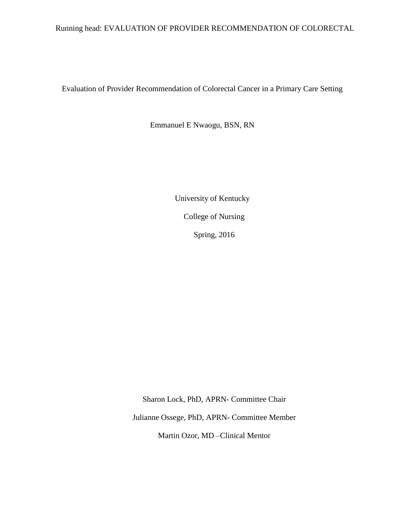### Running head: EVALUATION OF PROVIDER RECOMMENDATION OF COLORECTAL

Evaluation of Provider Recommendation of Colorectal Cancer in a Primary Care Setting

Emmanuel E Nwaogu, BSN, RN

 University of Kentucky College of Nursing Spring, 2016

Sharon Lock, PhD, APRN- Committee Chair Julianne Ossege, PhD, APRN- Committee Member Martin Ozor, MD –Clinical Mentor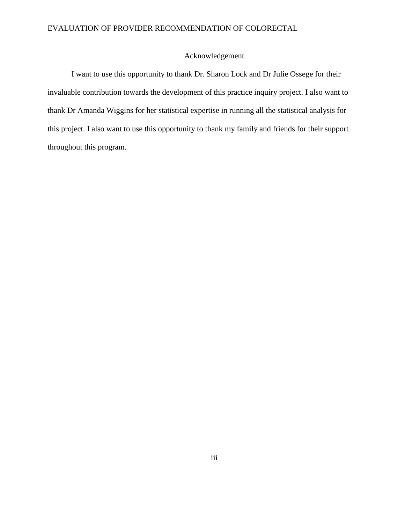## Acknowledgement

I want to use this opportunity to thank Dr. Sharon Lock and Dr Julie Ossege for their invaluable contribution towards the development of this practice inquiry project. I also want to thank Dr Amanda Wiggins for her statistical expertise in running all the statistical analysis for this project. I also want to use this opportunity to thank my family and friends for their support throughout this program.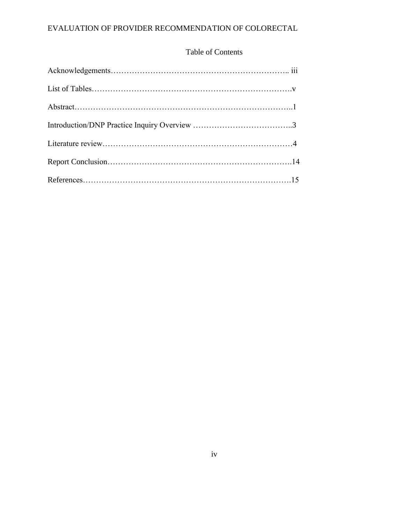### Table of Contents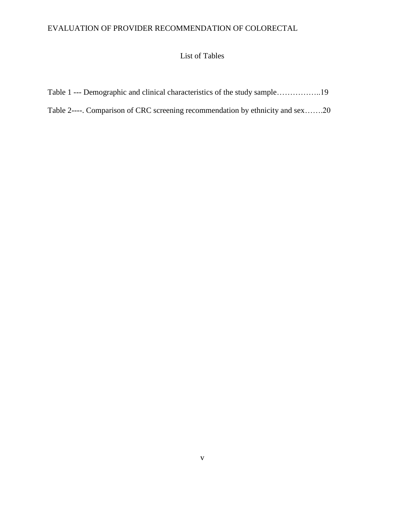# List of Tables

|  |  |  | Table 1 --- Demographic and clinical characteristics of the study sample19 |  |  |  |
|--|--|--|----------------------------------------------------------------------------|--|--|--|
|--|--|--|----------------------------------------------------------------------------|--|--|--|

# Table 2----. Comparison of CRC screening recommendation by ethnicity and sex…….20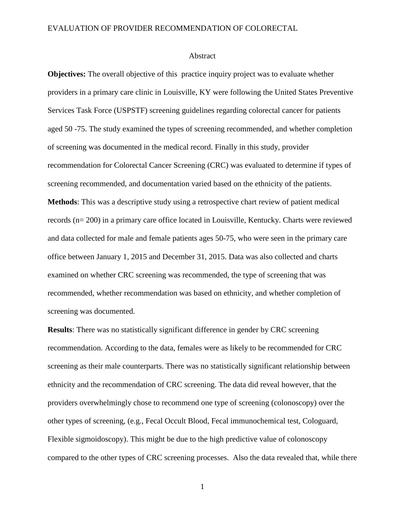#### Abstract

**Objectives:** The overall objective of this practice inquiry project was to evaluate whether providers in a primary care clinic in Louisville, KY were following the United States Preventive Services Task Force (USPSTF) screening guidelines regarding colorectal cancer for patients aged 50 -75. The study examined the types of screening recommended, and whether completion of screening was documented in the medical record. Finally in this study, provider recommendation for Colorectal Cancer Screening (CRC) was evaluated to determine if types of screening recommended, and documentation varied based on the ethnicity of the patients. **Methods**: This was a descriptive study using a retrospective chart review of patient medical records (n= 200) in a primary care office located in Louisville, Kentucky. Charts were reviewed and data collected for male and female patients ages 50-75, who were seen in the primary care office between January 1, 2015 and December 31, 2015. Data was also collected and charts examined on whether CRC screening was recommended, the type of screening that was recommended, whether recommendation was based on ethnicity, and whether completion of screening was documented.

**Results**: There was no statistically significant difference in gender by CRC screening recommendation. According to the data, females were as likely to be recommended for CRC screening as their male counterparts. There was no statistically significant relationship between ethnicity and the recommendation of CRC screening. The data did reveal however, that the providers overwhelmingly chose to recommend one type of screening (colonoscopy) over the other types of screening, (e.g., Fecal Occult Blood, Fecal immunochemical test, Cologuard, Flexible sigmoidoscopy). This might be due to the high predictive value of colonoscopy compared to the other types of CRC screening processes. Also the data revealed that, while there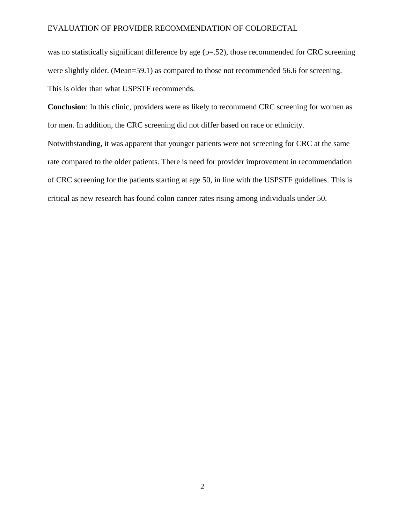was no statistically significant difference by age (p=.52), those recommended for CRC screening were slightly older. (Mean=59.1) as compared to those not recommended 56.6 for screening. This is older than what USPSTF recommends.

**Conclusion**: In this clinic, providers were as likely to recommend CRC screening for women as for men. In addition, the CRC screening did not differ based on race or ethnicity.

Notwithstanding, it was apparent that younger patients were not screening for CRC at the same rate compared to the older patients. There is need for provider improvement in recommendation of CRC screening for the patients starting at age 50, in line with the USPSTF guidelines. This is critical as new research has found colon cancer rates rising among individuals under 50.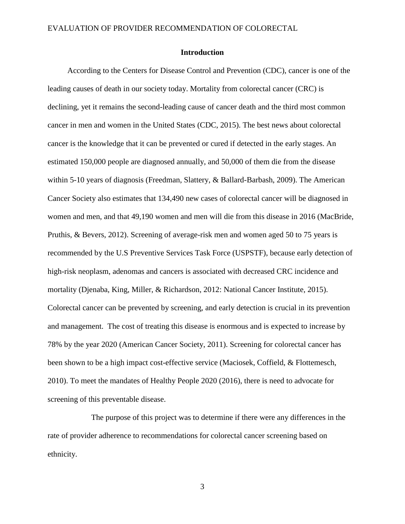#### **Introduction**

 According to the Centers for Disease Control and Prevention (CDC), cancer is one of the leading causes of death in our society today. Mortality from colorectal cancer (CRC) is declining, yet it remains the second-leading cause of cancer death and the third most common cancer in men and women in the United States (CDC, 2015). The best news about colorectal cancer is the knowledge that it can be prevented or cured if detected in the early stages. An estimated 150,000 people are diagnosed annually, and 50,000 of them die from the disease within 5-10 years of diagnosis (Freedman, Slattery, & Ballard-Barbash, 2009). The American Cancer Society also estimates that 134,490 new cases of colorectal cancer will be diagnosed in women and men, and that 49,190 women and men will die from this disease in 2016 (MacBride, Pruthis, & Bevers, 2012). Screening of average-risk men and women aged 50 to 75 years is recommended by the U.S Preventive Services Task Force (USPSTF), because early detection of high-risk neoplasm, adenomas and cancers is associated with decreased CRC incidence and mortality (Djenaba, King, Miller, & Richardson, 2012: National Cancer Institute, 2015). Colorectal cancer can be prevented by screening, and early detection is crucial in its prevention and management. The cost of treating this disease is enormous and is expected to increase by 78% by the year 2020 (American Cancer Society, 2011). Screening for colorectal cancer has been shown to be a high impact cost-effective service (Maciosek, Coffield, & Flottemesch, 2010). To meet the mandates of Healthy People 2020 (2016), there is need to advocate for screening of this preventable disease.

 The purpose of this project was to determine if there were any differences in the rate of provider adherence to recommendations for colorectal cancer screening based on ethnicity.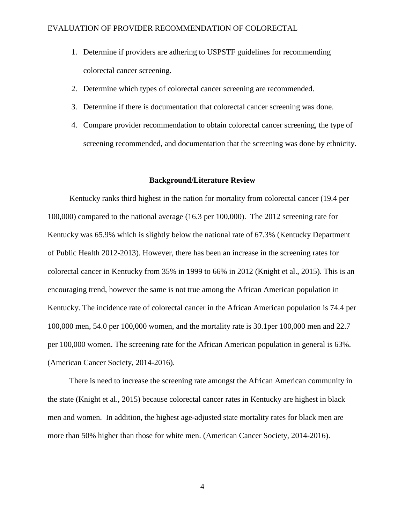- 1. Determine if providers are adhering to USPSTF guidelines for recommending colorectal cancer screening.
- 2. Determine which types of colorectal cancer screening are recommended.
- 3. Determine if there is documentation that colorectal cancer screening was done.
- 4. Compare provider recommendation to obtain colorectal cancer screening, the type of screening recommended, and documentation that the screening was done by ethnicity.

#### **Background/Literature Review**

 Kentucky ranks third highest in the nation for mortality from colorectal cancer (19.4 per 100,000) compared to the national average (16.3 per 100,000). The 2012 screening rate for Kentucky was 65.9% which is slightly below the national rate of 67.3% (Kentucky Department of Public Health 2012-2013). However, there has been an increase in the screening rates for colorectal cancer in Kentucky from 35% in 1999 to 66% in 2012 (Knight et al., 2015). This is an encouraging trend, however the same is not true among the African American population in Kentucky. The incidence rate of colorectal cancer in the African American population is 74.4 per 100,000 men, 54.0 per 100,000 women, and the mortality rate is 30.1per 100,000 men and 22.7 per 100,000 women. The screening rate for the African American population in general is 63%. (American Cancer Society, 2014-2016).

 There is need to increase the screening rate amongst the African American community in the state (Knight et al., 2015) because colorectal cancer rates in Kentucky are highest in black men and women. In addition, the highest age-adjusted state mortality rates for black men are more than 50% higher than those for white men. (American Cancer Society, 2014-2016).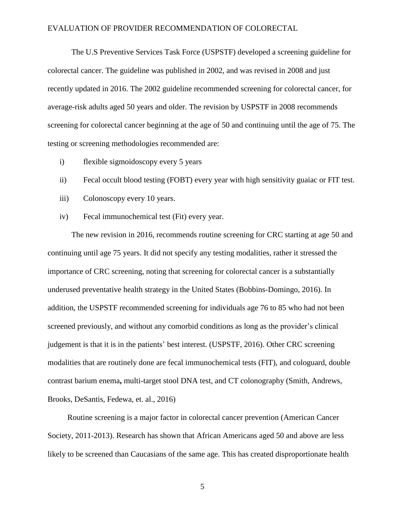The U.S Preventive Services Task Force (USPSTF) developed a screening guideline for colorectal cancer. The guideline was published in 2002, and was revised in 2008 and just recently updated in 2016. The 2002 guideline recommended screening for colorectal cancer, for average-risk adults aged 50 years and older. The revision by USPSTF in 2008 recommends screening for colorectal cancer beginning at the age of 50 and continuing until the age of 75. The testing or screening methodologies recommended are:

- i) flexible sigmoidoscopy every 5 years
- ii) Fecal occult blood testing (FOBT) every year with high sensitivity guaiac or FIT test.
- iii) Colonoscopy every 10 years.
- iv) Fecal immunochemical test (Fit) every year.

 The new revision in 2016, recommends routine screening for CRC starting at age 50 and continuing until age 75 years. It did not specify any testing modalities, rather it stressed the importance of CRC screening, noting that screening for colorectal cancer is a substantially underused preventative health strategy in the United States (Bobbins-Domingo, 2016). In addition, the USPSTF recommended screening for individuals age 76 to 85 who had not been screened previously, and without any comorbid conditions as long as the provider's clinical judgement is that it is in the patients' best interest. (USPSTF, 2016). Other CRC screening modalities that are routinely done are fecal immunochemical tests (FIT), and cologuard, double contrast barium enema**,** multi-target stool DNA test, and CT colonography (Smith, Andrews, Brooks, DeSantis, Fedewa, et. al., 2016)

 Routine screening is a major factor in colorectal cancer prevention (American Cancer Society, 2011-2013). Research has shown that African Americans aged 50 and above are less likely to be screened than Caucasians of the same age. This has created disproportionate health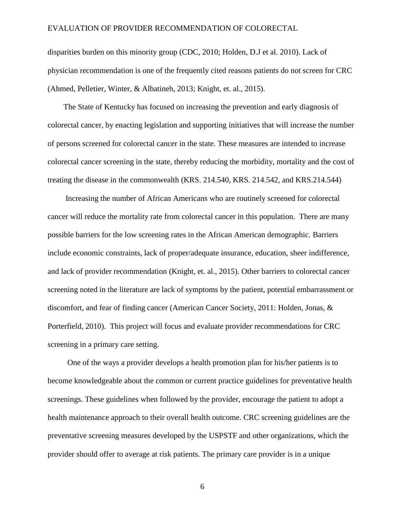disparities burden on this minority group (CDC, 2010; Holden, D.J et al. 2010). Lack of physician recommendation is one of the frequently cited reasons patients do not screen for CRC (Ahmed, Pelletier, Winter, & Albatineh, 2013; Knight, et. al., 2015).

 The State of Kentucky has focused on increasing the prevention and early diagnosis of colorectal cancer, by enacting legislation and supporting initiatives that will increase the number of persons screened for colorectal cancer in the state. These measures are intended to increase colorectal cancer screening in the state, thereby reducing the morbidity, mortality and the cost of treating the disease in the commonwealth (KRS. 214.540, KRS. 214.542, and KRS.214.544)

 Increasing the number of African Americans who are routinely screened for colorectal cancer will reduce the mortality rate from colorectal cancer in this population. There are many possible barriers for the low screening rates in the African American demographic. Barriers include economic constraints, lack of proper/adequate insurance, education, sheer indifference, and lack of provider recommendation (Knight, et. al., 2015). Other barriers to colorectal cancer screening noted in the literature are lack of symptoms by the patient, potential embarrassment or discomfort, and fear of finding cancer (American Cancer Society, 2011: Holden, Jonas, & Porterfield, 2010). This project will focus and evaluate provider recommendations for CRC screening in a primary care setting.

 One of the ways a provider develops a health promotion plan for his/her patients is to become knowledgeable about the common or current practice guidelines for preventative health screenings. These guidelines when followed by the provider, encourage the patient to adopt a health maintenance approach to their overall health outcome. CRC screening guidelines are the preventative screening measures developed by the USPSTF and other organizations, which the provider should offer to average at risk patients. The primary care provider is in a unique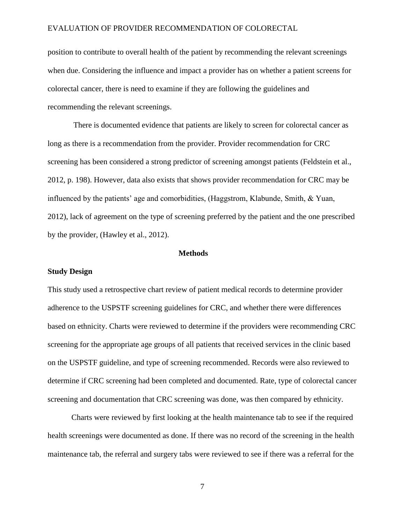position to contribute to overall health of the patient by recommending the relevant screenings when due. Considering the influence and impact a provider has on whether a patient screens for colorectal cancer, there is need to examine if they are following the guidelines and recommending the relevant screenings.

 There is documented evidence that patients are likely to screen for colorectal cancer as long as there is a recommendation from the provider. Provider recommendation for CRC screening has been considered a strong predictor of screening amongst patients (Feldstein et al., 2012, p. 198). However, data also exists that shows provider recommendation for CRC may be influenced by the patients' age and comorbidities, (Haggstrom, Klabunde, Smith, & Yuan, 2012), lack of agreement on the type of screening preferred by the patient and the one prescribed by the provider, (Hawley et al., 2012).

#### **Methods**

#### **Study Design**

This study used a retrospective chart review of patient medical records to determine provider adherence to the USPSTF screening guidelines for CRC, and whether there were differences based on ethnicity. Charts were reviewed to determine if the providers were recommending CRC screening for the appropriate age groups of all patients that received services in the clinic based on the USPSTF guideline, and type of screening recommended. Records were also reviewed to determine if CRC screening had been completed and documented. Rate, type of colorectal cancer screening and documentation that CRC screening was done, was then compared by ethnicity.

 Charts were reviewed by first looking at the health maintenance tab to see if the required health screenings were documented as done. If there was no record of the screening in the health maintenance tab, the referral and surgery tabs were reviewed to see if there was a referral for the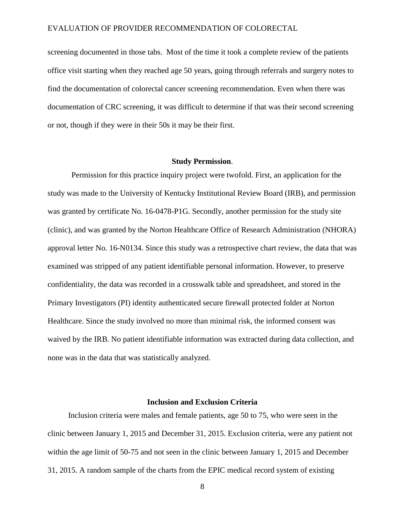screening documented in those tabs. Most of the time it took a complete review of the patients office visit starting when they reached age 50 years, going through referrals and surgery notes to find the documentation of colorectal cancer screening recommendation. Even when there was documentation of CRC screening, it was difficult to determine if that was their second screening or not, though if they were in their 50s it may be their first.

#### **Study Permission**.

 Permission for this practice inquiry project were twofold. First, an application for the study was made to the University of Kentucky Institutional Review Board (IRB), and permission was granted by certificate No. 16-0478-P1G. Secondly, another permission for the study site (clinic), and was granted by the Norton Healthcare Office of Research Administration (NHORA) approval letter No. 16-N0134. Since this study was a retrospective chart review, the data that was examined was stripped of any patient identifiable personal information. However, to preserve confidentiality, the data was recorded in a crosswalk table and spreadsheet, and stored in the Primary Investigators (PI) identity authenticated secure firewall protected folder at Norton Healthcare. Since the study involved no more than minimal risk, the informed consent was waived by the IRB. No patient identifiable information was extracted during data collection, and none was in the data that was statistically analyzed.

#### **Inclusion and Exclusion Criteria**

Inclusion criteria were males and female patients, age 50 to 75, who were seen in the clinic between January 1, 2015 and December 31, 2015. Exclusion criteria, were any patient not within the age limit of 50-75 and not seen in the clinic between January 1, 2015 and December 31, 2015. A random sample of the charts from the EPIC medical record system of existing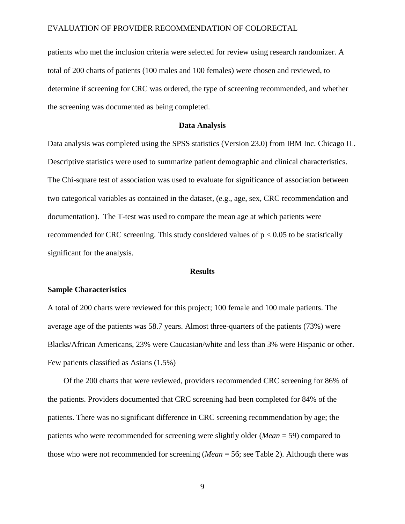patients who met the inclusion criteria were selected for review using research randomizer. A total of 200 charts of patients (100 males and 100 females) were chosen and reviewed, to determine if screening for CRC was ordered, the type of screening recommended, and whether the screening was documented as being completed.

#### **Data Analysis**

Data analysis was completed using the SPSS statistics (Version 23.0) from IBM Inc. Chicago IL. Descriptive statistics were used to summarize patient demographic and clinical characteristics. The Chi-square test of association was used to evaluate for significance of association between two categorical variables as contained in the dataset, (e.g., age, sex, CRC recommendation and documentation). The T-test was used to compare the mean age at which patients were recommended for CRC screening. This study considered values of  $p < 0.05$  to be statistically significant for the analysis.

#### **Results**

#### **Sample Characteristics**

A total of 200 charts were reviewed for this project; 100 female and 100 male patients. The average age of the patients was 58.7 years. Almost three-quarters of the patients (73%) were Blacks/African Americans, 23% were Caucasian/white and less than 3% were Hispanic or other. Few patients classified as Asians (1.5%)

 Of the 200 charts that were reviewed, providers recommended CRC screening for 86% of the patients. Providers documented that CRC screening had been completed for 84% of the patients. There was no significant difference in CRC screening recommendation by age; the patients who were recommended for screening were slightly older (*Mean* = 59) compared to those who were not recommended for screening (*Mean* = 56; see Table 2). Although there was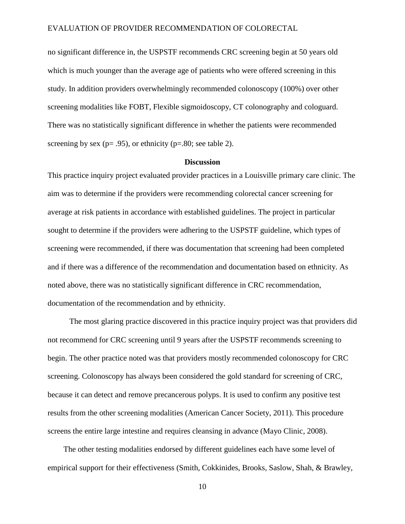no significant difference in, the USPSTF recommends CRC screening begin at 50 years old which is much younger than the average age of patients who were offered screening in this study. In addition providers overwhelmingly recommended colonoscopy (100%) over other screening modalities like FOBT, Flexible sigmoidoscopy, CT colonography and cologuard. There was no statistically significant difference in whether the patients were recommended screening by sex ( $p = .95$ ), or ethnicity ( $p = .80$ ; see table 2).

#### **Discussion**

This practice inquiry project evaluated provider practices in a Louisville primary care clinic. The aim was to determine if the providers were recommending colorectal cancer screening for average at risk patients in accordance with established guidelines. The project in particular sought to determine if the providers were adhering to the USPSTF guideline, which types of screening were recommended, if there was documentation that screening had been completed and if there was a difference of the recommendation and documentation based on ethnicity. As noted above, there was no statistically significant difference in CRC recommendation, documentation of the recommendation and by ethnicity.

 The most glaring practice discovered in this practice inquiry project was that providers did not recommend for CRC screening until 9 years after the USPSTF recommends screening to begin. The other practice noted was that providers mostly recommended colonoscopy for CRC screening. Colonoscopy has always been considered the gold standard for screening of CRC, because it can detect and remove precancerous polyps. It is used to confirm any positive test results from the other screening modalities (American Cancer Society, 2011). This procedure screens the entire large intestine and requires cleansing in advance (Mayo Clinic, 2008).

 The other testing modalities endorsed by different guidelines each have some level of empirical support for their effectiveness (Smith, Cokkinides, Brooks, Saslow, Shah, & Brawley,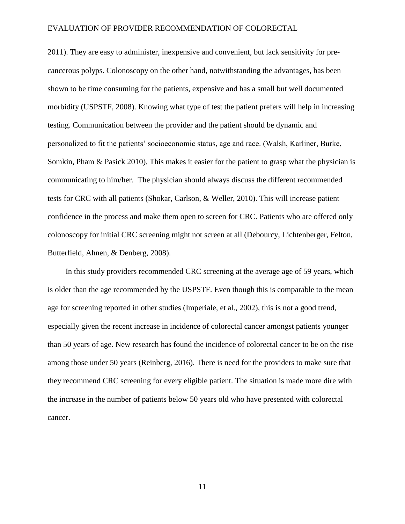2011). They are easy to administer, inexpensive and convenient, but lack sensitivity for precancerous polyps. Colonoscopy on the other hand, notwithstanding the advantages, has been shown to be time consuming for the patients, expensive and has a small but well documented morbidity (USPSTF, 2008). Knowing what type of test the patient prefers will help in increasing testing. Communication between the provider and the patient should be dynamic and personalized to fit the patients' socioeconomic status, age and race. (Walsh, Karliner, Burke, Somkin, Pham & Pasick 2010). This makes it easier for the patient to grasp what the physician is communicating to him/her. The physician should always discuss the different recommended tests for CRC with all patients (Shokar, Carlson, & Weller, 2010). This will increase patient confidence in the process and make them open to screen for CRC. Patients who are offered only colonoscopy for initial CRC screening might not screen at all (Debourcy, Lichtenberger, Felton, Butterfield, Ahnen, & Denberg, 2008).

 In this study providers recommended CRC screening at the average age of 59 years, which is older than the age recommended by the USPSTF. Even though this is comparable to the mean age for screening reported in other studies (Imperiale, et al., 2002), this is not a good trend, especially given the recent increase in incidence of colorectal cancer amongst patients younger than 50 years of age. New research has found the incidence of colorectal cancer to be on the rise among those under 50 years (Reinberg, 2016). There is need for the providers to make sure that they recommend CRC screening for every eligible patient. The situation is made more dire with the increase in the number of patients below 50 years old who have presented with colorectal cancer.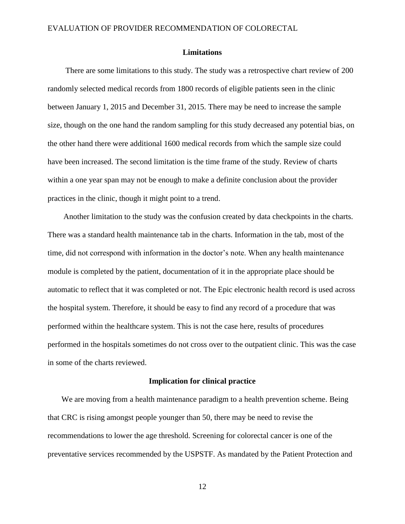#### **Limitations**

There are some limitations to this study. The study was a retrospective chart review of 200 randomly selected medical records from 1800 records of eligible patients seen in the clinic between January 1, 2015 and December 31, 2015. There may be need to increase the sample size, though on the one hand the random sampling for this study decreased any potential bias, on the other hand there were additional 1600 medical records from which the sample size could have been increased. The second limitation is the time frame of the study. Review of charts within a one year span may not be enough to make a definite conclusion about the provider practices in the clinic, though it might point to a trend.

 Another limitation to the study was the confusion created by data checkpoints in the charts. There was a standard health maintenance tab in the charts. Information in the tab, most of the time, did not correspond with information in the doctor's note. When any health maintenance module is completed by the patient, documentation of it in the appropriate place should be automatic to reflect that it was completed or not. The Epic electronic health record is used across the hospital system. Therefore, it should be easy to find any record of a procedure that was performed within the healthcare system. This is not the case here, results of procedures performed in the hospitals sometimes do not cross over to the outpatient clinic. This was the case in some of the charts reviewed.

#### **Implication for clinical practice**

 We are moving from a health maintenance paradigm to a health prevention scheme. Being that CRC is rising amongst people younger than 50, there may be need to revise the recommendations to lower the age threshold. Screening for colorectal cancer is one of the preventative services recommended by the USPSTF. As mandated by the Patient Protection and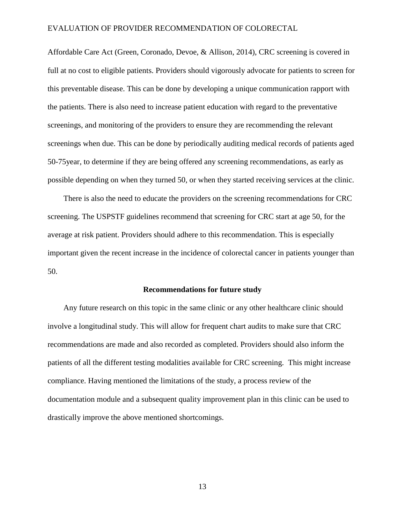Affordable Care Act (Green, Coronado, Devoe, & Allison, 2014), CRC screening is covered in full at no cost to eligible patients. Providers should vigorously advocate for patients to screen for this preventable disease. This can be done by developing a unique communication rapport with the patients. There is also need to increase patient education with regard to the preventative screenings, and monitoring of the providers to ensure they are recommending the relevant screenings when due. This can be done by periodically auditing medical records of patients aged 50-75year, to determine if they are being offered any screening recommendations, as early as possible depending on when they turned 50, or when they started receiving services at the clinic.

 There is also the need to educate the providers on the screening recommendations for CRC screening. The USPSTF guidelines recommend that screening for CRC start at age 50, for the average at risk patient. Providers should adhere to this recommendation. This is especially important given the recent increase in the incidence of colorectal cancer in patients younger than 50.

#### **Recommendations for future study**

 Any future research on this topic in the same clinic or any other healthcare clinic should involve a longitudinal study. This will allow for frequent chart audits to make sure that CRC recommendations are made and also recorded as completed. Providers should also inform the patients of all the different testing modalities available for CRC screening. This might increase compliance. Having mentioned the limitations of the study, a process review of the documentation module and a subsequent quality improvement plan in this clinic can be used to drastically improve the above mentioned shortcomings.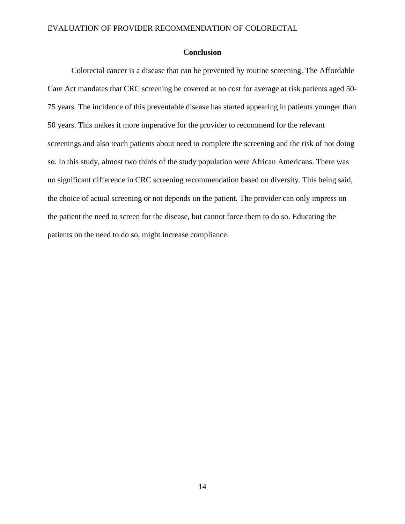#### **Conclusion**

 Colorectal cancer is a disease that can be prevented by routine screening. The Affordable Care Act mandates that CRC screening be covered at no cost for average at risk patients aged 50- 75 years. The incidence of this preventable disease has started appearing in patients younger than 50 years. This makes it more imperative for the provider to recommend for the relevant screenings and also teach patients about need to complete the screening and the risk of not doing so. In this study, almost two thirds of the study population were African Americans. There was no significant difference in CRC screening recommendation based on diversity. This being said, the choice of actual screening or not depends on the patient. The provider can only impress on the patient the need to screen for the disease, but cannot force them to do so. Educating the patients on the need to do so, might increase compliance.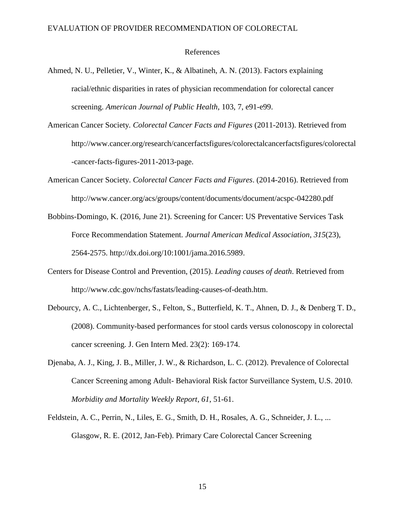#### References

- Ahmed, N. U., Pelletier, V., Winter, K., & Albatineh, A. N. (2013). Factors explaining racial/ethnic disparities in rates of physician recommendation for colorectal cancer screening. *American Journal of Public Health*, 103, 7, e91-e99.
- American Cancer Society*. Colorectal Cancer Facts and Figures* (2011-2013). Retrieved from http://www.cancer.org/research/cancerfactsfigures/colorectalcancerfactsfigures/colorectal -cancer-facts-figures-2011-2013-page.
- American Cancer Society. *Colorectal Cancer Facts and Figures*. (2014-2016). Retrieved from http://www.cancer.org/acs/groups/content/documents/document/acspc-042280.pdf
- Bobbins-Domingo, K. (2016, June 21). Screening for Cancer: US Preventative Services Task Force Recommendation Statement. *Journal American Medical Association*, *315*(23), 2564-2575. http://dx.doi.org/10:1001/jama.2016.5989.
- Centers for Disease Control and Prevention, (2015). *Leading causes of death*. Retrieved from http://www.cdc.gov/nchs/fastats/leading-causes-of-death.htm.
- Debourcy, A. C., Lichtenberger, S., Felton, S., Butterfield, K. T., Ahnen, D. J., & Denberg T. D., (2008). Community-based performances for stool cards versus colonoscopy in colorectal cancer screening. J. Gen Intern Med. 23(2): 169-174.
- Djenaba, A. J., King, J. B., Miller, J. W., & Richardson, L. C. (2012). Prevalence of Colorectal Cancer Screening among Adult- Behavioral Risk factor Surveillance System, U.S. 2010. *Morbidity and Mortality Weekly Report*, *61*, 51-61.
- Feldstein, A. C., Perrin, N., Liles, E. G., Smith, D. H., Rosales, A. G., Schneider, J. L., ... Glasgow, R. E. (2012, Jan-Feb). Primary Care Colorectal Cancer Screening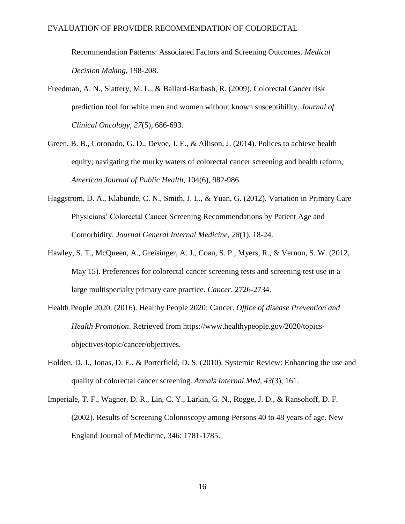Recommendation Patterns: Associated Factors and Screening Outcomes. *Medical Decision Making,* 198-208.

- Freedman, A. N., Slattery, M. L., & Ballard-Barbash, R. (2009). Colorectal Cancer risk prediction tool for white men and women without known susceptibility. *Journal of Clinical Oncology*, *27*(5), 686-693.
- Green, B. B., Coronado, G. D., Devoe, J. E., & Allison, J. (2014). Polices to achieve health equity; navigating the murky waters of colorectal cancer screening and health reform, *American Journal of Public Health*, 104(6), 982-986.
- Haggstrom, D. A., Klabunde, C. N., Smith, J. L., & Yuan, G. (2012). Variation in Primary Care Physicians' Colorectal Cancer Screening Recommendations by Patient Age and Comorbidity. *Journal General Internal Medicine*, *28*(1), 18-24.
- Hawley, S. T., McQueen, A., Greisinger, A. J., Coan, S. P., Myers, R., & Vernon, S. W. (2012, May 15). Preferences for colorectal cancer screening tests and screening test use in a large multispecialty primary care practice. *Cancer*, 2726-2734.
- Health People 2020. (2016). Healthy People 2020: Cancer. *Office of disease Prevention and Health Promotion*. Retrieved from https://www.healthypeople.gov/2020/topicsobjectives/topic/cancer/objectives.
- Holden, D. J., Jonas, D. E., & Porterfield, D. S. (2010). Systemic Review: Enhancing the use and quality of colorectal cancer screening. *Annals Internal Med*, *43*(3), 161.
- Imperiale, T. F., Wagner, D. R., Lin, C. Y., Larkin, G. N., Rogge, J. D., & Ransohoff, D. F. (2002). Results of Screening Colonoscopy among Persons 40 to 48 years of age. New England Journal of Medicine, 346: 1781-1785.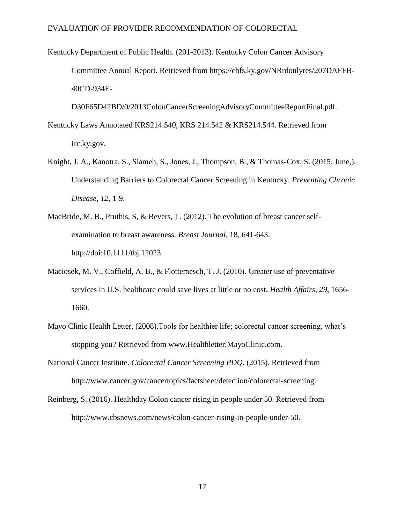Kentucky Department of Public Health. (201-2013). Kentucky Colon Cancer Advisory Committee Annual Report. Retrieved from https://chfs.ky.gov/NRrdonlyres/207DAFFB-40CD-934E-

D30F65D42BD/0/2013ColonCancerScreeningAdvisoryCommitteeReportFinal.pdf.

- Kentucky Laws Annotated KRS214.540, KRS 214.542 & KRS214.544. Retrieved from Irc.ky.gov.
- Knight, J. A., Kanotra, S., Siameh, S., Jones, J., Thompson, B., & Thomas-Cox, S. (2015, June,). Understanding Barriers to Colorectal Cancer Screening in Kentucky. *Preventing Chronic Disease*, *12*, 1-9.
- MacBride, M. B., Pruthis, S, & Bevers, T. (2012). The evolution of breast cancer selfexamination to breast awareness. *Breast Journal*, 18, 641-643. http://doi:10.1111/tbj.12023
- Maciosek, M. V., Coffield, A. B., & Flottemesch, T. J. (2010). Greater use of preventative services in U.S. healthcare could save lives at little or no cost. *Health Affairs*, *29*, 1656- 1660.
- Mayo Clinic Health Letter. (2008).Tools for healthier life; colorectal cancer screening, what's stopping you? Retrieved from www.Healthletter.MayoClinic.com.
- National Cancer Institute. *Colorectal Cancer Screening PDQ*. (2015). Retrieved from http://www.cancer.gov/cancertopics/factsheet/detection/colorectal-screening.
- Reinberg, S. (2016). Healthday Colon cancer rising in people under 50. Retrieved from http://www.cbsnews.com/news/colon-cancer-rising-in-people-under-50.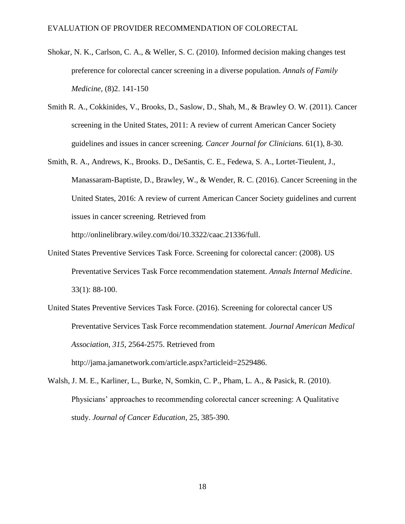- Shokar, N. K., Carlson, C. A., & Weller, S. C. (2010). Informed decision making changes test preference for colorectal cancer screening in a diverse population. *Annals of Family Medicine,* (8)2. 141-150
- Smith R. A., Cokkinides, V., Brooks, D., Saslow, D., Shah, M., & Brawley O. W. (2011). Cancer screening in the United States, 2011: A review of current American Cancer Society guidelines and issues in cancer screening. *Cancer Journal for Clinicians*. 61(1), 8-30.
- Smith, R. A., Andrews, K., Brooks. D., DeSantis, C. E., Fedewa, S. A., Lortet-Tieulent, J., Manassaram-Baptiste, D., Brawley, W., & Wender, R. C. (2016). Cancer Screening in the United States, 2016: A review of current American Cancer Society guidelines and current issues in cancer screening. Retrieved from

http://onlinelibrary.wiley.com/doi/10.3322/caac.21336/full.

- United States Preventive Services Task Force. Screening for colorectal cancer: (2008). US Preventative Services Task Force recommendation statement. *Annals Internal Medicine*. 33(1): 88-100.
- United States Preventive Services Task Force. (2016). Screening for colorectal cancer US Preventative Services Task Force recommendation statement. *Journal American Medical Association*, *315*, 2564-2575. Retrieved from http://jama.jamanetwork.com/article.aspx?articleid=2529486.
- Walsh, J. M. E., Karliner, L., Burke, N, Somkin, C. P., Pham, L. A., & Pasick, R. (2010). Physicians' approaches to recommending colorectal cancer screening: A Qualitative study. *Journal of Cancer Education*, 25, 385-390.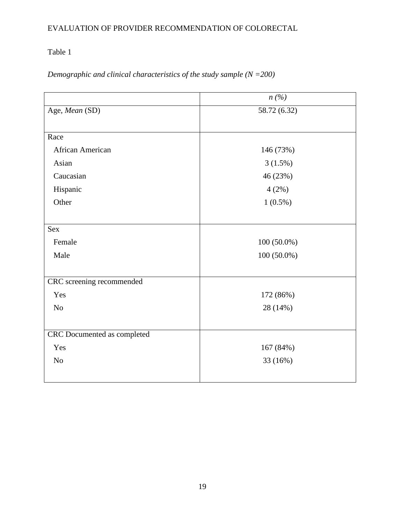# Table 1

*Demographic and clinical characteristics of the study sample (N =200)*

|                             | n(%)          |  |  |
|-----------------------------|---------------|--|--|
| Age, Mean (SD)              | 58.72 (6.32)  |  |  |
|                             |               |  |  |
| Race                        |               |  |  |
| African American            | 146 (73%)     |  |  |
| Asian                       | 3(1.5%)       |  |  |
| Caucasian                   | 46 (23%)      |  |  |
| Hispanic                    | 4(2%)         |  |  |
| Other                       | $1(0.5\%)$    |  |  |
|                             |               |  |  |
| Sex                         |               |  |  |
| Female                      | $100(50.0\%)$ |  |  |
| Male                        | $100(50.0\%)$ |  |  |
|                             |               |  |  |
| CRC screening recommended   |               |  |  |
| Yes                         | 172 (86%)     |  |  |
| N <sub>o</sub>              | 28 (14%)      |  |  |
|                             |               |  |  |
| CRC Documented as completed |               |  |  |
| Yes                         | 167 (84%)     |  |  |
| N <sub>o</sub>              | 33 (16%)      |  |  |
|                             |               |  |  |